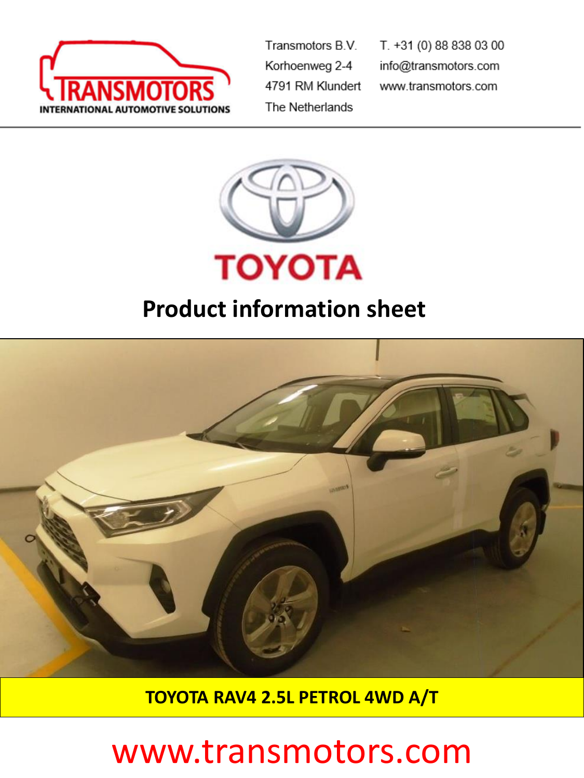

Transmotors B.V. Korhoenweg 2-4 4791 RM Klundert The Netherlands

T. +31 (0) 88 838 03 00 info@transmotors.com www.transmotors.com



### **Product information sheet**



**TOYOTA RAV4 2.5L PETROL 4WD A/T**

## www.transmotors.com